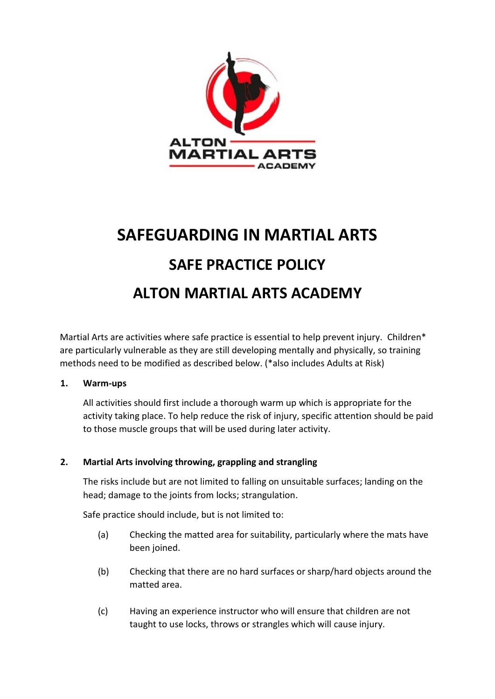

# **SAFEGUARDING IN MARTIAL ARTS SAFE PRACTICE POLICY ALTON MARTIAL ARTS ACADEMY**

Martial Arts are activities where safe practice is essential to help prevent injury. Children\* are particularly vulnerable as they are still developing mentally and physically, so training methods need to be modified as described below. (\*also includes Adults at Risk)

#### **1. Warm-ups**

All activities should first include a thorough warm up which is appropriate for the activity taking place. To help reduce the risk of injury, specific attention should be paid to those muscle groups that will be used during later activity.

## **2. Martial Arts involving throwing, grappling and strangling**

The risks include but are not limited to falling on unsuitable surfaces; landing on the head; damage to the joints from locks; strangulation.

Safe practice should include, but is not limited to:

- (a) Checking the matted area for suitability, particularly where the mats have been joined.
- (b) Checking that there are no hard surfaces or sharp/hard objects around the matted area.
- (c) Having an experience instructor who will ensure that children are not taught to use locks, throws or strangles which will cause injury.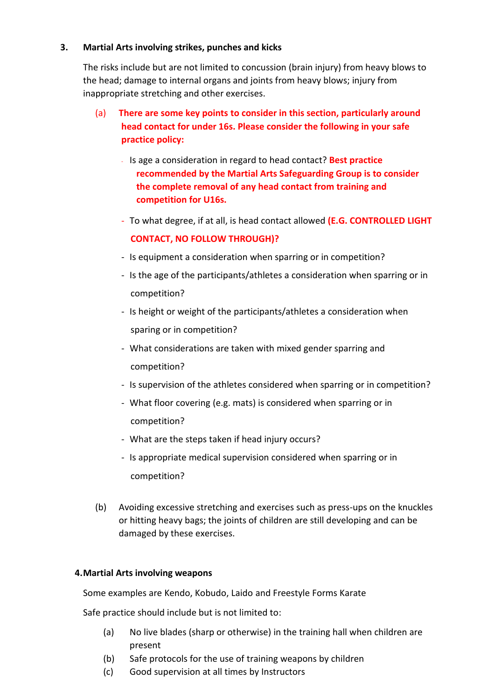#### **3. Martial Arts involving strikes, punches and kicks**

The risks include but are not limited to concussion (brain injury) from heavy blows to the head; damage to internal organs and joints from heavy blows; injury from inappropriate stretching and other exercises.

- (a) **There are some key points to consider in this section, particularly around head contact for under 16s. Please consider the following in your safe practice policy:**
	- Is age a consideration in regard to head contact? **Best practice recommended by the Martial Arts Safeguarding Group is to consider the complete removal of any head contact from training and competition for U16s.**
	- To what degree, if at all, is head contact allowed **(E.G. CONTROLLED LIGHT CONTACT, NO FOLLOW THROUGH)?**
	- Is equipment a consideration when sparring or in competition?
	- Is the age of the participants/athletes a consideration when sparring or in competition?
	- Is height or weight of the participants/athletes a consideration when sparing or in competition?
	- What considerations are taken with mixed gender sparring and competition?
	- Is supervision of the athletes considered when sparring or in competition?
	- What floor covering (e.g. mats) is considered when sparring or in competition?
	- What are the steps taken if head injury occurs?
	- Is appropriate medical supervision considered when sparring or in competition?
- (b) Avoiding excessive stretching and exercises such as press-ups on the knuckles or hitting heavy bags; the joints of children are still developing and can be damaged by these exercises.

## **4.Martial Arts involving weapons**

Some examples are Kendo, Kobudo, Laido and Freestyle Forms Karate

Safe practice should include but is not limited to:

- (a) No live blades (sharp or otherwise) in the training hall when children are present
- (b) Safe protocols for the use of training weapons by children
- (c) Good supervision at all times by Instructors